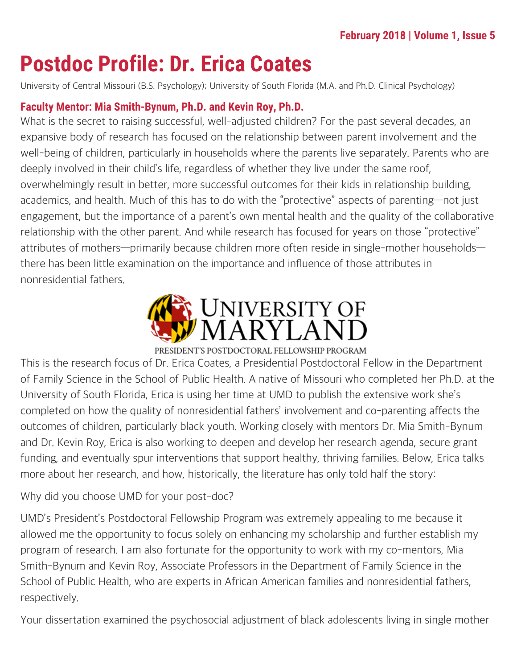# **Postdoc Profile: Dr. Erica Coates**

University of Central Missouri (B.S. Psychology); University of South Florida (M.A. and Ph.D. Clinical Psychology)

#### **Faculty Mentor: Mia Smith-Bynum, Ph.D. and Kevin Roy, Ph.D.**

What is the secret to raising successful, well-adjusted children? For the past several decades, an expansive body of research has focused on the relationship between parent involvement and the well-being of children, particularly in households where the parents live separately. Parents who are deeply involved in their child's life, regardless of whether they live under the same roof, overwhelmingly result in better, more successful outcomes for their kids in relationship building, academics, and health. Much of this has to do with the "protective" aspects of parenting—not just engagement, but the importance of a parent's own mental health and the quality of the collaborative relationship with the other parent. And while research has focused for years on those "protective" attributes of mothers—primarily because children more often reside in single-mother households there has been little examination on the importance and influence of those attributes in nonresidential fathers.



This is the research focus of Dr. Erica Coates, a Presidential Postdoctoral Fellow in the Department of Family Science in the School of Public Health. A native of Missouri who completed her Ph.D. at the University of South Florida, Erica is using her time at UMD to publish the extensive work she's completed on how the quality of nonresidential fathers' involvement and co-parenting affects the outcomes of children, particularly black youth. Working closely with mentors Dr. Mia Smith-Bynum and Dr. Kevin Roy, Erica is also working to deepen and develop her research agenda, secure grant funding, and eventually spur interventions that support healthy, thriving families. Below, Erica talks more about her research, and how, historically, the literature has only told half the story:

Why did you choose UMD for your post-doc?

UMD's President's Postdoctoral Fellowship Program was extremely appealing to me because it allowed me the opportunity to focus solely on enhancing my scholarship and further establish my program of research. I am also fortunate for the opportunity to work with my co-mentors, Mia Smith-Bynum and Kevin Roy, Associate Professors in the Department of Family Science in the School of Public Health, who are experts in African American families and nonresidential fathers, respectively.

Your dissertation examined the psychosocial adjustment of black adolescents living in single mother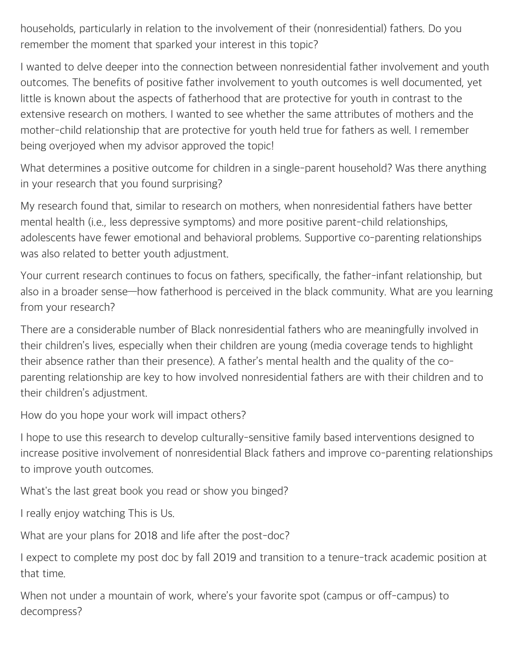households, particularly in relation to the involvement of their (nonresidential) fathers. Do you remember the moment that sparked your interest in this topic?

I wanted to delve deeper into the connection between nonresidential father involvement and youth outcomes. The benefits of positive father involvement to youth outcomes is well documented, yet little is known about the aspects of fatherhood that are protective for youth in contrast to the extensive research on mothers. I wanted to see whether the same attributes of mothers and the mother-child relationship that are protective for youth held true for fathers as well. I remember being overjoyed when my advisor approved the topic!

What determines a positive outcome for children in a single-parent household? Was there anything in your research that you found surprising?

My research found that, similar to research on mothers, when nonresidential fathers have better mental health (i.e., less depressive symptoms) and more positive parent-child relationships, adolescents have fewer emotional and behavioral problems. Supportive co-parenting relationships was also related to better youth adjustment.

Your current research continues to focus on fathers, specifically, the father-infant relationship, but also in a broader sense—how fatherhood is perceived in the black community. What are you learning from your research?

There are a considerable number of Black nonresidential fathers who are meaningfully involved in their children's lives, especially when their children are young (media coverage tends to highlight their absence rather than their presence). A father's mental health and the quality of the coparenting relationship are key to how involved nonresidential fathers are with their children and to their children's adjustment.

How do you hope your work will impact others?

I hope to use this research to develop culturally-sensitive family based interventions designed to increase positive involvement of nonresidential Black fathers and improve co-parenting relationships to improve youth outcomes.

What's the last great book you read or show you binged?

I really enjoy watching This is Us.

What are your plans for 2018 and life after the post-doc?

I expect to complete my post doc by fall 2019 and transition to a tenure-track academic position at that time.

When not under a mountain of work, where's your favorite spot (campus or off-campus) to decompress?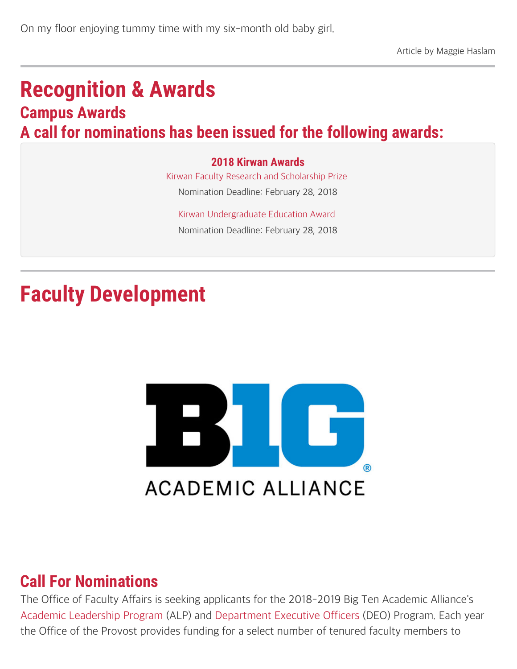## **Recognition & Awards Campus Awards A call for nominations has been issued for the following awards:**

#### **2018 Kirwan Awards**

[Kirwan Faculty Research and Scholarship Prize](https://gradschool.umd.edu/funding/faculty-and-staff-awards/kirwan-graduate-scholarship-and-research-prize) Nomination Deadline: February 28, 2018

[Kirwan Undergraduate Education Award](https://faculty.umd.edu/awards/index.html)  Nomination Deadline: February 28, 2018

# **Faculty Development**



### **Call For Nominations**

The Office of Faculty Affairs is seeking applicants for the 2018-2019 Big Ten Academic Alliance's [Academic Leadership Program](https://faculty.umd.edu/awards/list_alf.html) (ALP) and [Department Executive Officers](https://faculty.umd.edu/awards/list_deo.html) (DEO) Program. Each year the Office of the Provost provides funding for a select number of tenured faculty members to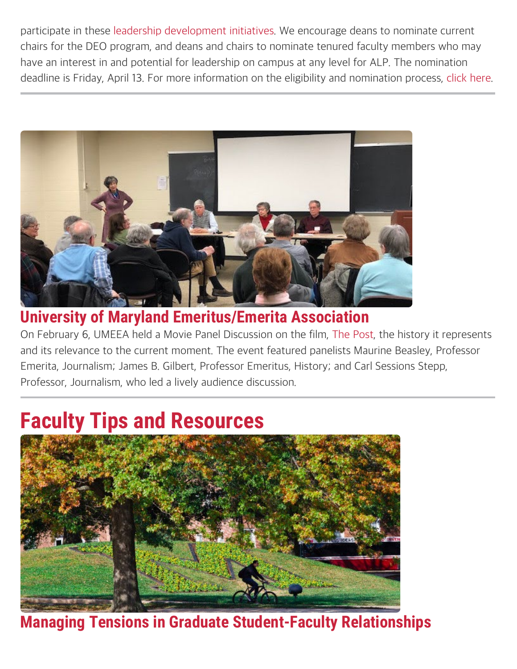participate in these [leadership development initiatives.](https://www.btaa.org/leadership) We encourage deans to nominate current chairs for the DEO program, and deans and chairs to nominate tenured faculty members who may have an interest in and potential for leadership on campus at any level for ALP. The nomination deadline is Friday, April 13. For more information on the eligibility and nomination process, [click here.](https://faculty.umd.edu/news/documents/BTAA-Call-2018-19.pdf)



### **University of Maryland Emeritus/Emerita Association**

On February 6, UMEEA held a Movie Panel Discussion on the film, [The Post](https://www.foxmovies.com/movies/the-post), the history it represents and its relevance to the current moment. The event featured panelists Maurine Beasley, Professor Emerita, Journalism; James B. Gilbert, Professor Emeritus, History; and Carl Sessions Stepp, Professor, Journalism, who led a lively audience discussion.

## **Faculty Tips and Resources**



**Managing Tensions in Graduate Student-Faculty Relationships**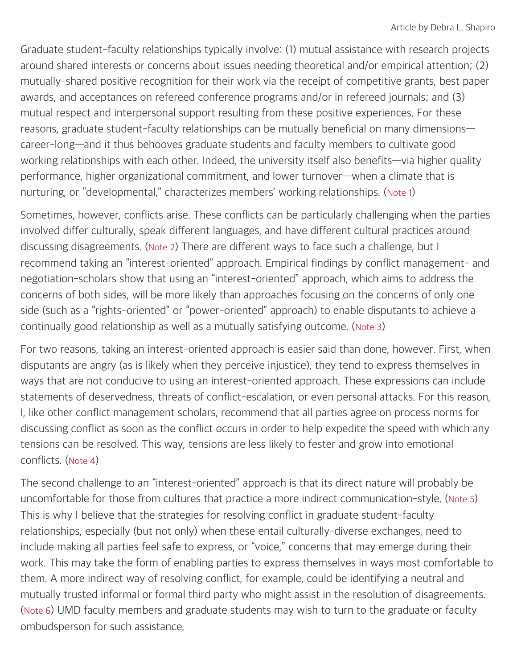Graduate student-faculty relationships typically involve: (1) mutual assistance with research projects around shared interests or concerns about issues needing theoretical and/or empirical attention; (2) mutually-shared positive recognition for their work via the receipt of competitive grants, best paper awards, and acceptances on refereed conference programs and/or in refereed journals; and (3) mutual respect and interpersonal support resulting from these positive experiences. For these reasons, graduate student-faculty relationships can be mutually beneficial on many dimensions career-long—and it thus behooves graduate students and faculty members to cultivate good working relationships with each other. Indeed, the university itself also benefits—via higher quality performance, higher organizational commitment, and lower turnover—when a climate that is nurturing, or "developmental," characterizes members' working relationships. [\(Note 1](https://faculty.umd.edu/news/2018-02.html#end1))

Sometimes, however, conflicts arise. These conflicts can be particularly challenging when the parties involved differ culturally, speak different languages, and have different cultural practices around discussing disagreements. [\(Note 2](https://faculty.umd.edu/news/2018-02.html#end1)) There are different ways to face such a challenge, but I recommend taking an "interest-oriented" approach. Empirical findings by conflict management- and negotiation-scholars show that using an "interest-oriented" approach, which aims to address the concerns of both sides, will be more likely than approaches focusing on the concerns of only one side (such as a "rights-oriented" or "power-oriented" approach) to enable disputants to achieve a continually good relationship as well as a mutually satisfying outcome. [\(Note 3](https://faculty.umd.edu/news/2018-02.html#end1))

For two reasons, taking an interest-oriented approach is easier said than done, however. First, when disputants are angry (as is likely when they perceive injustice), they tend to express themselves in ways that are not conducive to using an interest-oriented approach. These expressions can include statements of deservedness, threats of conflict-escalation, or even personal attacks. For this reason, I, like other conflict management scholars, recommend that all parties agree on process norms for discussing conflict as soon as the conflict occurs in order to help expedite the speed with which any tensions can be resolved. This way, tensions are less likely to fester and grow into emotional conflicts. [\(Note 4](https://faculty.umd.edu/news/2018-02.html#end1))

The second challenge to an "interest-oriented" approach is that its direct nature will probably be uncomfortable for those from cultures that practice a more indirect communication-style. [\(Note 5](https://faculty.umd.edu/news/2018-02.html#end1)) This is why I believe that the strategies for resolving conflict in graduate student-faculty relationships, especially (but not only) when these entail culturally-diverse exchanges, need to include making all parties feel safe to express, or "voice," concerns that may emerge during their work. This may take the form of enabling parties to express themselves in ways most comfortable to them. A more indirect way of resolving conflict, for example, could be identifying a neutral and mutually trusted informal or formal third party who might assist in the resolution of disagreements. [\(Note 6](https://faculty.umd.edu/news/2018-02.html#end1)) UMD faculty members and graduate students may wish to turn to the graduate or faculty ombudsperson for such assistance.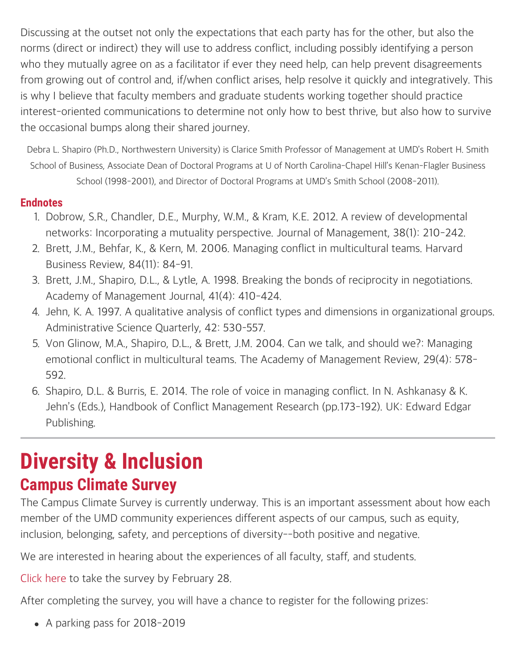Discussing at the outset not only the expectations that each party has for the other, but also the norms (direct or indirect) they will use to address conflict, including possibly identifying a person who they mutually agree on as a facilitator if ever they need help, can help prevent disagreements from growing out of control and, if/when conflict arises, help resolve it quickly and integratively. This is why I believe that faculty members and graduate students working together should practice interest-oriented communications to determine not only how to best thrive, but also how to survive the occasional bumps along their shared journey.

Debra L. Shapiro (Ph.D., Northwestern University) is Clarice Smith Professor of Management at UMD's Robert H. Smith School of Business, Associate Dean of Doctoral Programs at U of North Carolina-Chapel Hill's Kenan-Flagler Business School (1998-2001), and Director of Doctoral Programs at UMD's Smith School (2008-2011).

#### **Endnotes**

- 1. Dobrow, S.R., Chandler, D.E., Murphy, W.M., & Kram, K.E. 2012. A review of developmental networks: Incorporating a mutuality perspective. Journal of Management, 38(1): 210-242.
- 2. Brett, J.M., Behfar, K., & Kern, M. 2006. Managing conflict in multicultural teams. Harvard Business Review, 84(11): 84-91.
- 3. Brett, J.M., Shapiro, D.L., & Lytle, A. 1998. Breaking the bonds of reciprocity in negotiations. Academy of Management Journal, 41(4): 410-424.
- 4. Jehn, K. A. 1997. A qualitative analysis of conflict types and dimensions in organizational groups. Administrative Science Quarterly, 42: 530–557.
- 5. Von Glinow, M.A., Shapiro, D.L., & Brett, J.M. 2004. Can we talk, and should we?: Managing emotional conflict in multicultural teams. The Academy of Management Review, 29(4): 578- 592.
- 6. Shapiro, D.L. & Burris, E. 2014. The role of voice in managing conflict. In N. Ashkanasy & K. Jehn's (Eds.), Handbook of Conflict Management Research (pp.173-192). UK: Edward Edgar Publishing.

## **Diversity & Inclusion Campus Climate Survey**

The Campus Climate Survey is currently underway. This is an important assessment about how each member of the UMD community experiences different aspects of our campus, such as equity, inclusion, belonging, safety, and perceptions of diversity--both positive and negative.

We are interested in hearing about the experiences of all faculty, staff, and students.

[Click here](https://umd.edu/climate-survey) to take the survey by February 28.

After completing the survey, you will have a chance to register for the following prizes:

• A parking pass for 2018-2019